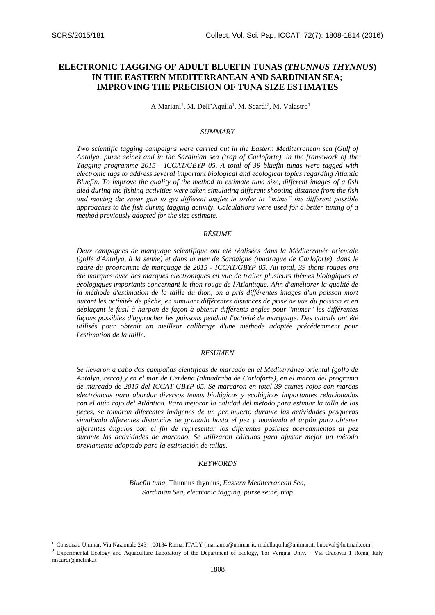-

# **ELECTRONIC TAGGING OF ADULT BLUEFIN TUNAS (***THUNNUS THYNNUS***) IN THE EASTERN MEDITERRANEAN AND SARDINIAN SEA; IMPROVING THE PRECISION OF TUNA SIZE ESTIMATES**

A Mariani<sup>1</sup>, M. Dell'Aquila<sup>1</sup>, M. Scardi<sup>2</sup>, M. Valastro<sup>1</sup>

## *SUMMARY*

*Two scientific tagging campaigns were carried out in the Eastern Mediterranean sea (Gulf of Antalya, purse seine) and in the Sardinian sea (trap of Carloforte), in the framework of the Tagging programme 2015 - ICCAT/GBYP 05. A total of 39 bluefin tunas were tagged with electronic tags to address several important biological and ecological topics regarding Atlantic Bluefin. To improve the quality of the method to estimate tuna size, different images of a fish died during the fishing activities were taken simulating different shooting distance from the fish and moving the spear gun to get different angles in order to "mime" the different possible approaches to the fish during tagging activity. Calculations were used for a better tuning of a method previously adopted for the size estimate.*

# *RÉSUMÉ*

*Deux campagnes de marquage scientifique ont été réalisées dans la Méditerranée orientale (golfe d'Antalya, à la senne) et dans la mer de Sardaigne (madrague de Carloforte), dans le cadre du programme de marquage de 2015 - ICCAT/GBYP 05. Au total, 39 thons rouges ont été marqués avec des marques électroniques en vue de traiter plusieurs thèmes biologiques et écologiques importants concernant le thon rouge de l'Atlantique. Afin d'améliorer la qualité de la méthode d'estimation de la taille du thon, on a pris différentes images d'un poisson mort durant les activités de pêche, en simulant différentes distances de prise de vue du poisson et en déplaçant le fusil à harpon de façon à obtenir différents angles pour "mimer" les différentes façons possibles d'approcher les poissons pendant l'activité de marquage. Des calculs ont été utilisés pour obtenir un meilleur calibrage d'une méthode adoptée précédemment pour l'estimation de la taille.* 

#### *RESUMEN*

*Se llevaron a cabo dos campañas científicas de marcado en el Mediterráneo oriental (golfo de Antalya, cerco) y en el mar de Cerdeña (almadraba de Carloforte), en el marco del programa de marcado de 2015 del ICCAT GBYP 05. Se marcaron en total 39 atunes rojos con marcas electrónicas para abordar diversos temas biológicos y ecológicos importantes relacionados con el atún rojo del Atlántico. Para mejorar la calidad del método para estimar la talla de los peces, se tomaron diferentes imágenes de un pez muerto durante las actividades pesqueras simulando diferentes distancias de grabado hasta el pez y moviendo el arpón para obtener diferentes ángulos con el fin de representar los diferentes posibles acercamientos al pez durante las actividades de marcado. Se utilizaron cálculos para ajustar mejor un método previamente adoptado para la estimación de tallas.* 

## *KEYWORDS*

*Bluefin tuna,* Thunnus thynnus, *Eastern Mediterranean Sea, Sardinian Sea, electronic tagging, purse seine, trap*

<sup>2</sup> Experimental Ecology and Aquaculture Laboratory of the Department of Biology, Tor Vergata Univ. – Via Cracovia 1 Roma, Italy [mscardi@mclink.it](mailto:mscardi@mclink.it)

<sup>&</sup>lt;sup>1</sup> Consorzio Unimar, Via Nazionale 243 – 00184 Roma, ITALY [\(mariani.a@unimar.it;](mailto:mariani.a@unimar.it) [m.dellaquila@unimar.it;](mailto:m.dellaquila@unimar.it) [bubuval@hotmail.com;](mailto:bubuval@hotmail.com)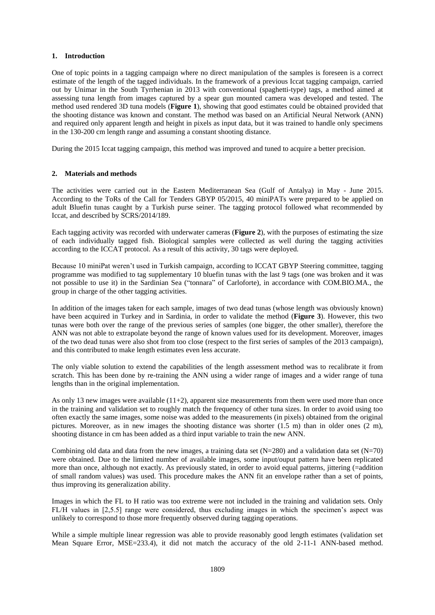### **1. Introduction**

One of topic points in a tagging campaign where no direct manipulation of the samples is foreseen is a correct estimate of the length of the tagged individuals. In the framework of a previous Iccat tagging campaign, carried out by Unimar in the South Tyrrhenian in 2013 with conventional (spaghetti-type) tags, a method aimed at assessing tuna length from images captured by a spear gun mounted camera was developed and tested. The method used rendered 3D tuna models (**[Figure 1](#page-4-0)**), showing that good estimates could be obtained provided that the shooting distance was known and constant. The method was based on an Artificial Neural Network (ANN) and required only apparent length and height in pixels as input data, but it was trained to handle only specimens in the 130-200 cm length range and assuming a constant shooting distance.

During the 2015 Iccat tagging campaign, this method was improved and tuned to acquire a better precision.

## **2. Materials and methods**

The activities were carried out in the Eastern Mediterranean Sea (Gulf of Antalya) in May - June 2015. According to the ToRs of the Call for Tenders GBYP 05/2015, 40 miniPATs were prepared to be applied on adult Bluefin tunas caught by a Turkish purse seiner. The tagging protocol followed what recommended by Iccat, and described by SCRS/2014/189.

Each tagging activity was recorded with underwater cameras (**[Figure 2](#page-4-1)**), with the purposes of estimating the size of each individually tagged fish. Biological samples were collected as well during the tagging activities according to the ICCAT protocol. As a result of this activity, 30 tags were deployed.

Because 10 miniPat weren't used in Turkish campaign, according to ICCAT GBYP Steering committee, tagging programme was modified to tag supplementary 10 bluefin tunas with the last 9 tags (one was broken and it was not possible to use it) in the Sardinian Sea ("tonnara" of Carloforte), in accordance with COM.BIO.MA., the group in charge of the other tagging activities.

In addition of the images taken for each sample, images of two dead tunas (whose length was obviously known) have been acquired in Turkey and in Sardinia, in order to validate the method (**[Figure 3](#page-4-2)**). However, this two tunas were both over the range of the previous series of samples (one bigger, the other smaller), therefore the ANN was not able to extrapolate beyond the range of known values used for its development. Moreover, images of the two dead tunas were also shot from too close (respect to the first series of samples of the 2013 campaign), and this contributed to make length estimates even less accurate.

The only viable solution to extend the capabilities of the length assessment method was to recalibrate it from scratch. This has been done by re-training the ANN using a wider range of images and a wider range of tuna lengths than in the original implementation.

As only 13 new images were available (11+2), apparent size measurements from them were used more than once in the training and validation set to roughly match the frequency of other tuna sizes. In order to avoid using too often exactly the same images, some noise was added to the measurements (in pixels) obtained from the original pictures. Moreover, as in new images the shooting distance was shorter (1.5 m) than in older ones (2 m), shooting distance in cm has been added as a third input variable to train the new ANN.

Combining old data and data from the new images, a training data set (N=280) and a validation data set (N=70) were obtained. Due to the limited number of available images, some input/ouput pattern have been replicated more than once, although not exactly. As previously stated, in order to avoid equal patterns, jittering (=addition of small random values) was used. This procedure makes the ANN fit an envelope rather than a set of points, thus improving its generalization ability.

Images in which the FL to H ratio was too extreme were not included in the training and validation sets. Only FL/H values in [2,5.5] range were considered, thus excluding images in which the specimen's aspect was unlikely to correspond to those more frequently observed during tagging operations.

While a simple multiple linear regression was able to provide reasonably good length estimates (validation set Mean Square Error, MSE=233.4), it did not match the accuracy of the old 2-11-1 ANN-based method.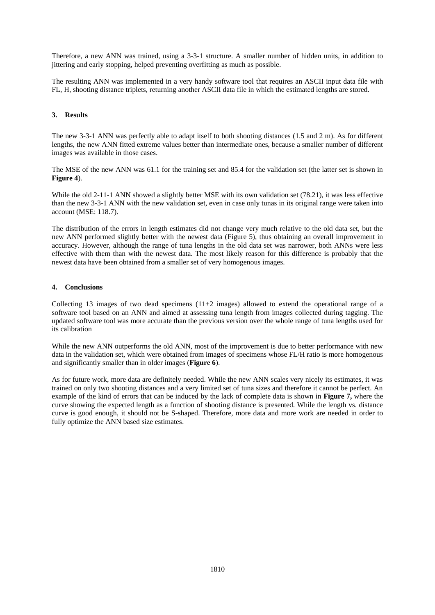Therefore, a new ANN was trained, using a 3-3-1 structure. A smaller number of hidden units, in addition to jittering and early stopping, helped preventing overfitting as much as possible.

The resulting ANN was implemented in a very handy software tool that requires an ASCII input data file with FL, H, shooting distance triplets, returning another ASCII data file in which the estimated lengths are stored.

## **3. Results**

The new 3-3-1 ANN was perfectly able to adapt itself to both shooting distances (1.5 and 2 m). As for different lengths, the new ANN fitted extreme values better than intermediate ones, because a smaller number of different images was available in those cases.

The MSE of the new ANN was 61.1 for the training set and 85.4 for the validation set (the latter set is shown in **[Figure 4](#page-5-0)**).

While the old 2-11-1 ANN showed a slightly better MSE with its own validation set (78.21), it was less effective than the new 3-3-1 ANN with the new validation set, even in case only tunas in its original range were taken into account (MSE: 118.7).

The distribution of the errors in length estimates did not change very much relative to the old data set, but the new ANN performed slightly better with the newest data [\(Figure 5\)](#page-5-1), thus obtaining an overall improvement in accuracy. However, although the range of tuna lengths in the old data set was narrower, both ANNs were less effective with them than with the newest data. The most likely reason for this difference is probably that the newest data have been obtained from a smaller set of very homogenous images.

## **4. Conclusions**

Collecting 13 images of two dead specimens  $(11+2 \text{ images})$  allowed to extend the operational range of a software tool based on an ANN and aimed at assessing tuna length from images collected during tagging. The updated software tool was more accurate than the previous version over the whole range of tuna lengths used for its calibration

While the new ANN outperforms the old ANN, most of the improvement is due to better performance with new data in the validation set, which were obtained from images of specimens whose FL/H ratio is more homogenous and significantly smaller than in older images (**[Figure 6](#page-6-0)**).

As for future work, more data are definitely needed. While the new ANN scales very nicely its estimates, it was trained on only two shooting distances and a very limited set of tuna sizes and therefore it cannot be perfect. An example of the kind of errors that can be induced by the lack of complete data is shown in **[Figure 7,](#page-6-1)** where the curve showing the expected length as a function of shooting distance is presented. While the length vs. distance curve is good enough, it should not be S-shaped. Therefore, more data and more work are needed in order to fully optimize the ANN based size estimates.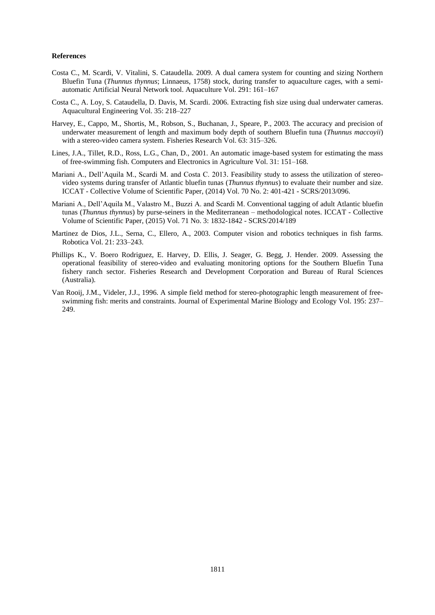#### **References**

- Costa C., M. Scardi, V. Vitalini, S. Cataudella. 2009. A dual camera system for counting and sizing Northern Bluefin Tuna (*Thunnus thynnus*; Linnaeus, 1758) stock, during transfer to aquaculture cages, with a semiautomatic Artificial Neural Network tool. Aquaculture Vol. 291: 161–167
- Costa C., A. Loy, S. Cataudella, D. Davis, M. Scardi. 2006. Extracting fish size using dual underwater cameras. Aquacultural Engineering Vol. 35: 218–227
- Harvey, E., Cappo, M., Shortis, M., Robson, S., Buchanan, J., Speare, P., 2003. The accuracy and precision of underwater measurement of length and maximum body depth of southern Bluefin tuna (*Thunnus maccoyii*) with a stereo-video camera system. Fisheries Research Vol. 63: 315–326.
- Lines, J.A., Tillet, R.D., Ross, L.G., Chan, D., 2001. An automatic image-based system for estimating the mass of free-swimming fish. Computers and Electronics in Agriculture Vol. 31: 151–168.
- Mariani A., Dell'Aquila M., Scardi M. and Costa C. 2013. Feasibility study to assess the utilization of stereovideo systems during transfer of Atlantic bluefin tunas (*Thunnus thynnus*) to evaluate their number and size. ICCAT - Collective Volume of Scientific Paper, (2014) Vol. 70 No. 2: 401-421 - SCRS/2013/096.
- Mariani A., Dell'Aquila M., Valastro M., Buzzi A. and Scardi M. Conventional tagging of adult Atlantic bluefin tunas (*Thunnus thynnus*) by purse-seiners in the Mediterranean – methodological notes. ICCAT - Collective Volume of Scientific Paper, (2015) Vol. 71 No. 3: 1832-1842 - SCRS/2014/189
- Martinez de Dios, J.L., Serna, C., Ellero, A., 2003. Computer vision and robotics techniques in fish farms. Robotica Vol. 21: 233–243.
- Phillips K., V. Boero Rodriguez, E. Harvey, D. Ellis, J. Seager, G. Begg, J. Hender. 2009. Assessing the operational feasibility of stereo-video and evaluating monitoring options for the Southern Bluefin Tuna fishery ranch sector. Fisheries Research and Development Corporation and Bureau of Rural Sciences (Australia).
- Van Rooij, J.M., Videler, J.J., 1996. A simple field method for stereo-photographic length measurement of freeswimming fish: merits and constraints. Journal of Experimental Marine Biology and Ecology Vol. 195: 237– 249.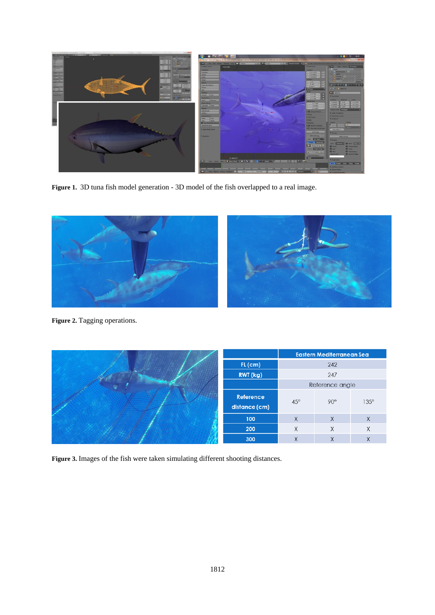

**Figure 1.** 3D tuna fish model generation - 3D model of the fish overlapped to a real image.

<span id="page-4-0"></span>

**Figure 2.** Tagging operations.

<span id="page-4-1"></span>

<span id="page-4-2"></span>**Figure 3.** Images of the fish were taken simulating different shooting distances.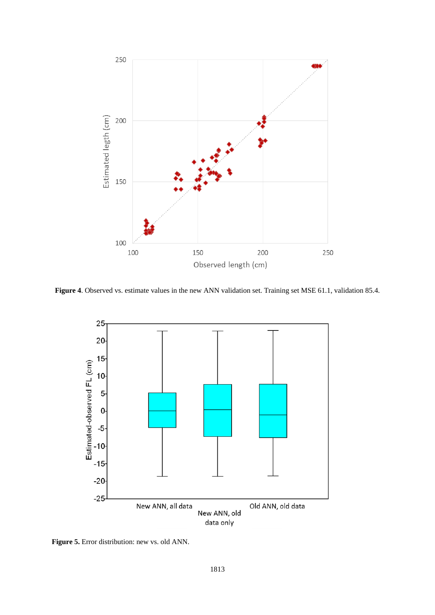

<span id="page-5-0"></span>**Figure 4**. Observed vs. estimate values in the new ANN validation set. Training set MSE 61.1, validation 85.4.



<span id="page-5-1"></span>**Figure 5.** Error distribution: new vs. old ANN.